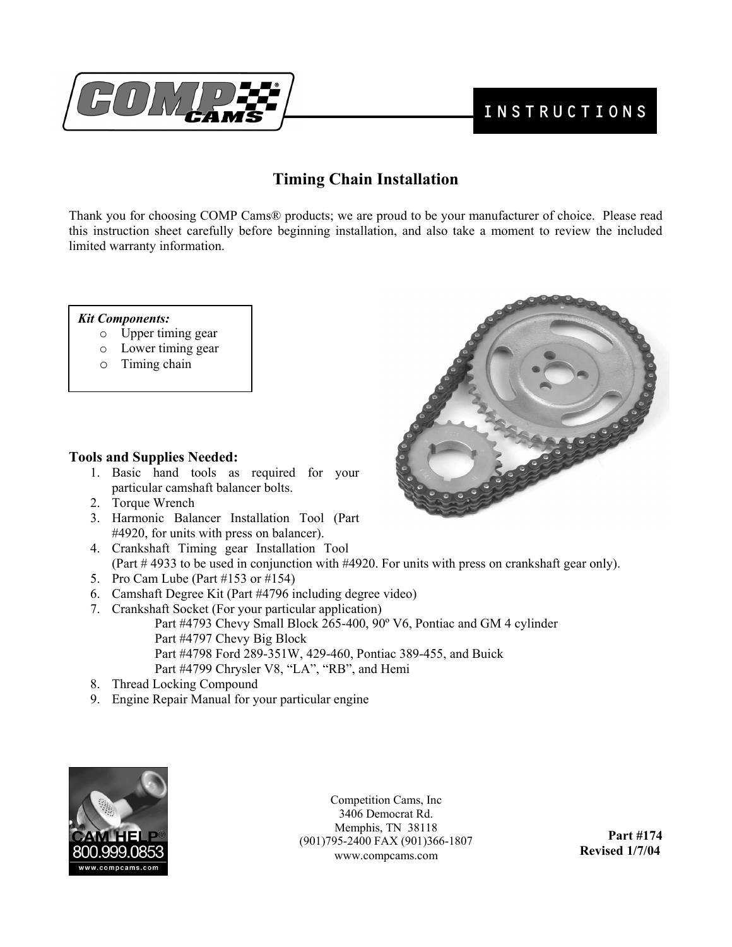

# **Timing Chain Installation**

Thank you for choosing COMP Cams® products; we are proud to be your manufacturer of choice. Please read this instruction sheet carefully before beginning installation, and also take a moment to review the included limited warranty information.

#### *Kit Components:*

- o Upper timing gear
- o Lower timing gear
- o Timing chain

# **Tools and Supplies Needed:**

- 1. Basic hand tools as required for your particular camshaft balancer bolts.
- 2. Torque Wrench
- 3. Harmonic Balancer Installation Tool (Part #4920, for units with press on balancer).
- 4. Crankshaft Timing gear Installation Tool (Part # 4933 to be used in conjunction with #4920. For units with press on crankshaft gear only).
- 5. Pro Cam Lube (Part #153 or #154)
- 6. Camshaft Degree Kit (Part #4796 including degree video)
- 7. Crankshaft Socket (For your particular application) Part #4793 Chevy Small Block 265-400, 90º V6, Pontiac and GM 4 cylinder Part #4797 Chevy Big Block Part #4798 Ford 289-351W, 429-460, Pontiac 389-455, and Buick Part #4799 Chrysler V8, "LA", "RB", and Hemi
- 8. Thread Locking Compound
- 9. Engine Repair Manual for your particular engine



 **Revised 1/7/04** www.compcams.com Competition Cams, Inc 3406 Democrat Rd. Memphis, TN 38118 (901)795-2400 FAX (901)366-1807

**Part #174** 

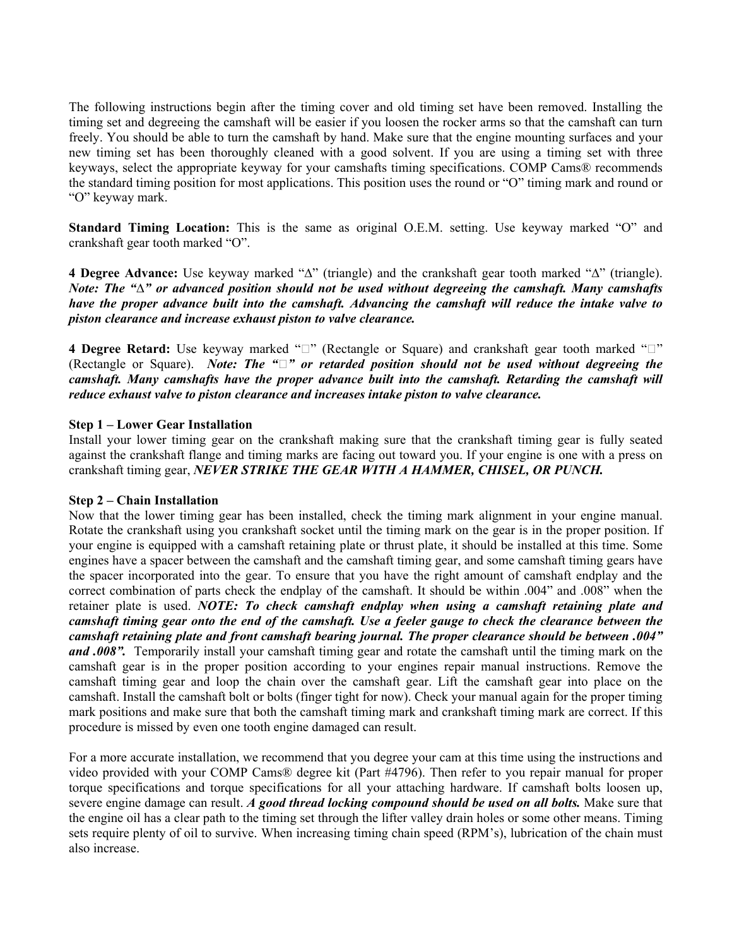The following instructions begin after the timing cover and old timing set have been removed. Installing the timing set and degreeing the camshaft will be easier if you loosen the rocker arms so that the camshaft can turn freely. You should be able to turn the camshaft by hand. Make sure that the engine mounting surfaces and your new timing set has been thoroughly cleaned with a good solvent. If you are using a timing set with three keyways, select the appropriate keyway for your camshafts timing specifications. COMP Cams® recommends the standard timing position for most applications. This position uses the round or "O" timing mark and round or "O" keyway mark.

**Standard Timing Location:** This is the same as original O.E.M. setting. Use keyway marked "O" and crankshaft gear tooth marked "O".

**4 Degree Advance:** Use keyway marked "∆" (triangle) and the crankshaft gear tooth marked "∆" (triangle). *Note: The "∆" or advanced position should not be used without degreeing the camshaft. Many camshafts have the proper advance built into the camshaft. Advancing the camshaft will reduce the intake valve to piston clearance and increase exhaust piston to valve clearance.*

4 Degree Retard: Use keyway marked " $\square$ " (Rectangle or Square) and crankshaft gear tooth marked " $\square$ " (Rectangle or Square). *Note: The "*ڤ *"or retarded position should not be used without degreeing the camshaft. Many camshafts have the proper advance built into the camshaft. Retarding the camshaft will reduce exhaust valve to piston clearance and increases intake piston to valve clearance.*

# **Step 1 – Lower Gear Installation**

Install your lower timing gear on the crankshaft making sure that the crankshaft timing gear is fully seated against the crankshaft flange and timing marks are facing out toward you. If your engine is one with a press on crankshaft timing gear, *NEVER STRIKE THE GEAR WITH A HAMMER, CHISEL, OR PUNCH.* 

#### **Step 2 – Chain Installation**

Now that the lower timing gear has been installed, check the timing mark alignment in your engine manual. Rotate the crankshaft using you crankshaft socket until the timing mark on the gear is in the proper position. If your engine is equipped with a camshaft retaining plate or thrust plate, it should be installed at this time. Some engines have a spacer between the camshaft and the camshaft timing gear, and some camshaft timing gears have the spacer incorporated into the gear. To ensure that you have the right amount of camshaft endplay and the correct combination of parts check the endplay of the camshaft. It should be within .004" and .008" when the retainer plate is used. *NOTE: To check camshaft endplay when using a camshaft retaining plate and camshaft timing gear onto the end of the camshaft. Use a feeler gauge to check the clearance between the camshaft retaining plate and front camshaft bearing journal. The proper clearance should be between .004" and .008".* Temporarily install your camshaft timing gear and rotate the camshaft until the timing mark on the camshaft gear is in the proper position according to your engines repair manual instructions. Remove the camshaft timing gear and loop the chain over the camshaft gear. Lift the camshaft gear into place on the camshaft. Install the camshaft bolt or bolts (finger tight for now). Check your manual again for the proper timing mark positions and make sure that both the camshaft timing mark and crankshaft timing mark are correct. If this procedure is missed by even one tooth engine damaged can result.

For a more accurate installation, we recommend that you degree your cam at this time using the instructions and video provided with your COMP Cams® degree kit (Part #4796). Then refer to you repair manual for proper torque specifications and torque specifications for all your attaching hardware. If camshaft bolts loosen up, severe engine damage can result. *A good thread locking compound should be used on all bolts*. Make sure that the engine oil has a clear path to the timing set through the lifter valley drain holes or some other means. Timing sets require plenty of oil to survive. When increasing timing chain speed (RPM's), lubrication of the chain must also increase.